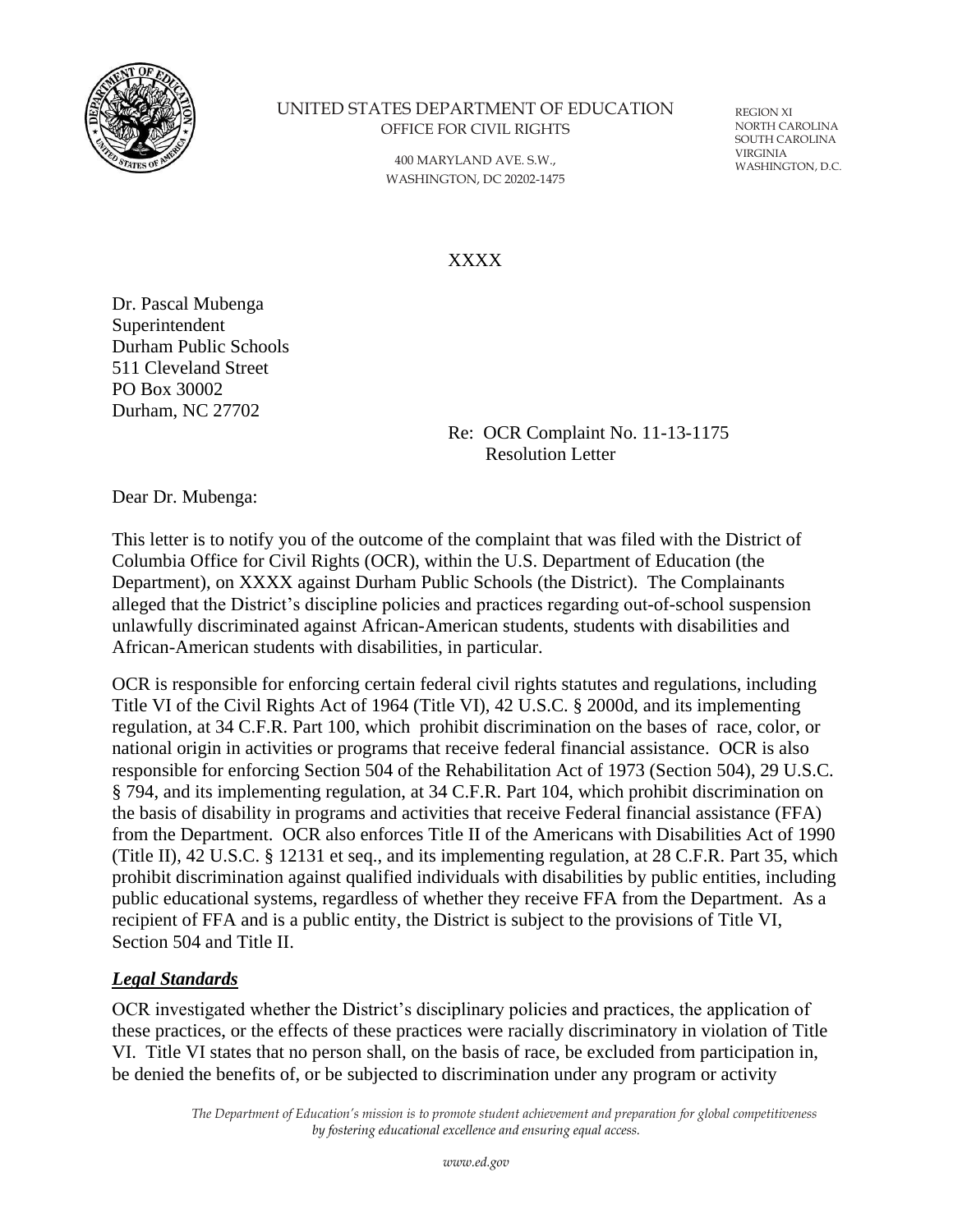

#### UNITED STATES DEPARTMENT OF EDUCATION OFFICE FOR CIVIL RIGHTS

400 MARYLAND AVE. S.W., WASHINGTON, DC 20202-1475 REGION XI NORTH CAROLINA SOUTH CAROLINA VIRGINIA WASHINGTON, D.C.

# XXXX

Dr. Pascal Mubenga Superintendent Durham Public Schools 511 Cleveland Street PO Box 30002 Durham, NC 27702

> Re: OCR Complaint No. 11-13-1175 Resolution Letter

Dear Dr. Mubenga:

This letter is to notify you of the outcome of the complaint that was filed with the District of Columbia Office for Civil Rights (OCR), within the U.S. Department of Education (the Department), on XXXX against Durham Public Schools (the District). The Complainants alleged that the District's discipline policies and practices regarding out-of-school suspension unlawfully discriminated against African-American students, students with disabilities and African-American students with disabilities, in particular.

OCR is responsible for enforcing certain federal civil rights statutes and regulations, including Title VI of the Civil Rights Act of 1964 (Title VI), 42 U.S.C. § 2000d, and its implementing regulation, at 34 C.F.R. Part 100, which prohibit discrimination on the bases of race, color, or national origin in activities or programs that receive federal financial assistance. OCR is also responsible for enforcing Section 504 of the Rehabilitation Act of 1973 (Section 504), 29 U.S.C. § 794, and its implementing regulation, at 34 C.F.R. Part 104, which prohibit discrimination on the basis of disability in programs and activities that receive Federal financial assistance (FFA) from the Department. OCR also enforces Title II of the Americans with Disabilities Act of 1990 (Title II), 42 U.S.C. § 12131 et seq., and its implementing regulation, at 28 C.F.R. Part 35, which prohibit discrimination against qualified individuals with disabilities by public entities, including public educational systems, regardless of whether they receive FFA from the Department. As a recipient of FFA and is a public entity, the District is subject to the provisions of Title VI, Section 504 and Title II.

#### *Legal Standards*

OCR investigated whether the District's disciplinary policies and practices, the application of these practices, or the effects of these practices were racially discriminatory in violation of Title VI. Title VI states that no person shall, on the basis of race, be excluded from participation in, be denied the benefits of, or be subjected to discrimination under any program or activity

> *The Department of Education's mission is to promote student achievement and preparation for global competitiveness by fostering educational excellence and ensuring equal access.*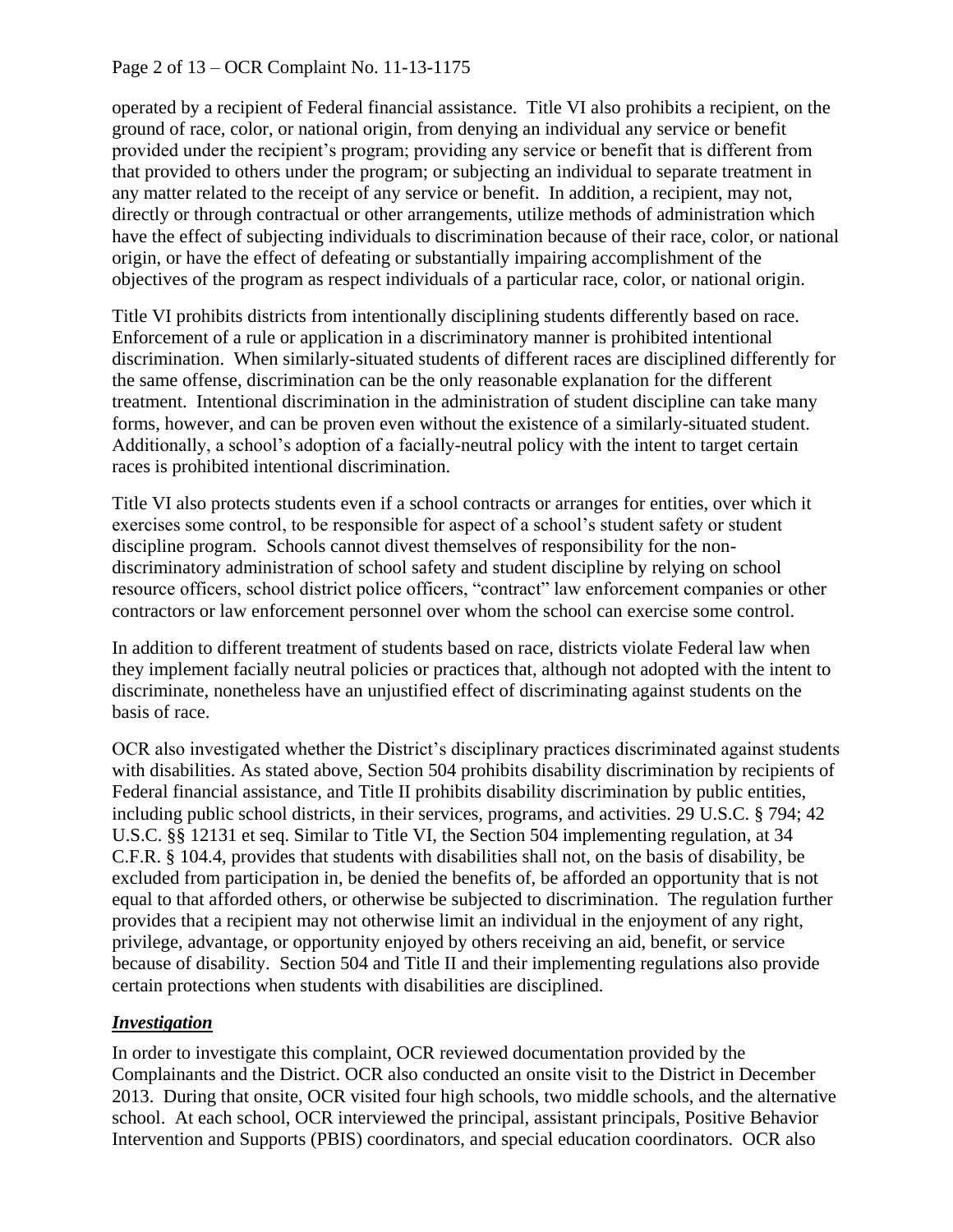### Page 2 of 13 – OCR Complaint No. 11-13-1175

operated by a recipient of Federal financial assistance. Title VI also prohibits a recipient, on the ground of race, color, or national origin, from denying an individual any service or benefit provided under the recipient's program; providing any service or benefit that is different from that provided to others under the program; or subjecting an individual to separate treatment in any matter related to the receipt of any service or benefit. In addition, a recipient, may not, directly or through contractual or other arrangements, utilize methods of administration which have the effect of subjecting individuals to discrimination because of their race, color, or national origin, or have the effect of defeating or substantially impairing accomplishment of the objectives of the program as respect individuals of a particular race, color, or national origin.

Title VI prohibits districts from intentionally disciplining students differently based on race. Enforcement of a rule or application in a discriminatory manner is prohibited intentional discrimination. When similarly-situated students of different races are disciplined differently for the same offense, discrimination can be the only reasonable explanation for the different treatment. Intentional discrimination in the administration of student discipline can take many forms, however, and can be proven even without the existence of a similarly-situated student. Additionally, a school's adoption of a facially-neutral policy with the intent to target certain races is prohibited intentional discrimination.

Title VI also protects students even if a school contracts or arranges for entities, over which it exercises some control, to be responsible for aspect of a school's student safety or student discipline program. Schools cannot divest themselves of responsibility for the nondiscriminatory administration of school safety and student discipline by relying on school resource officers, school district police officers, "contract" law enforcement companies or other contractors or law enforcement personnel over whom the school can exercise some control.

In addition to different treatment of students based on race, districts violate Federal law when they implement facially neutral policies or practices that, although not adopted with the intent to discriminate, nonetheless have an unjustified effect of discriminating against students on the basis of race.

OCR also investigated whether the District's disciplinary practices discriminated against students with disabilities. As stated above, Section 504 prohibits disability discrimination by recipients of Federal financial assistance, and Title II prohibits disability discrimination by public entities, including public school districts, in their services, programs, and activities. 29 U.S.C. § 794; 42 U.S.C. §§ 12131 et seq. Similar to Title VI, the Section 504 implementing regulation, at 34 C.F.R. § 104.4, provides that students with disabilities shall not, on the basis of disability, be excluded from participation in, be denied the benefits of, be afforded an opportunity that is not equal to that afforded others, or otherwise be subjected to discrimination. The regulation further provides that a recipient may not otherwise limit an individual in the enjoyment of any right, privilege, advantage, or opportunity enjoyed by others receiving an aid, benefit, or service because of disability. Section 504 and Title II and their implementing regulations also provide certain protections when students with disabilities are disciplined.

#### *Investigation*

In order to investigate this complaint, OCR reviewed documentation provided by the Complainants and the District. OCR also conducted an onsite visit to the District in December 2013. During that onsite, OCR visited four high schools, two middle schools, and the alternative school. At each school, OCR interviewed the principal, assistant principals, Positive Behavior Intervention and Supports (PBIS) coordinators, and special education coordinators. OCR also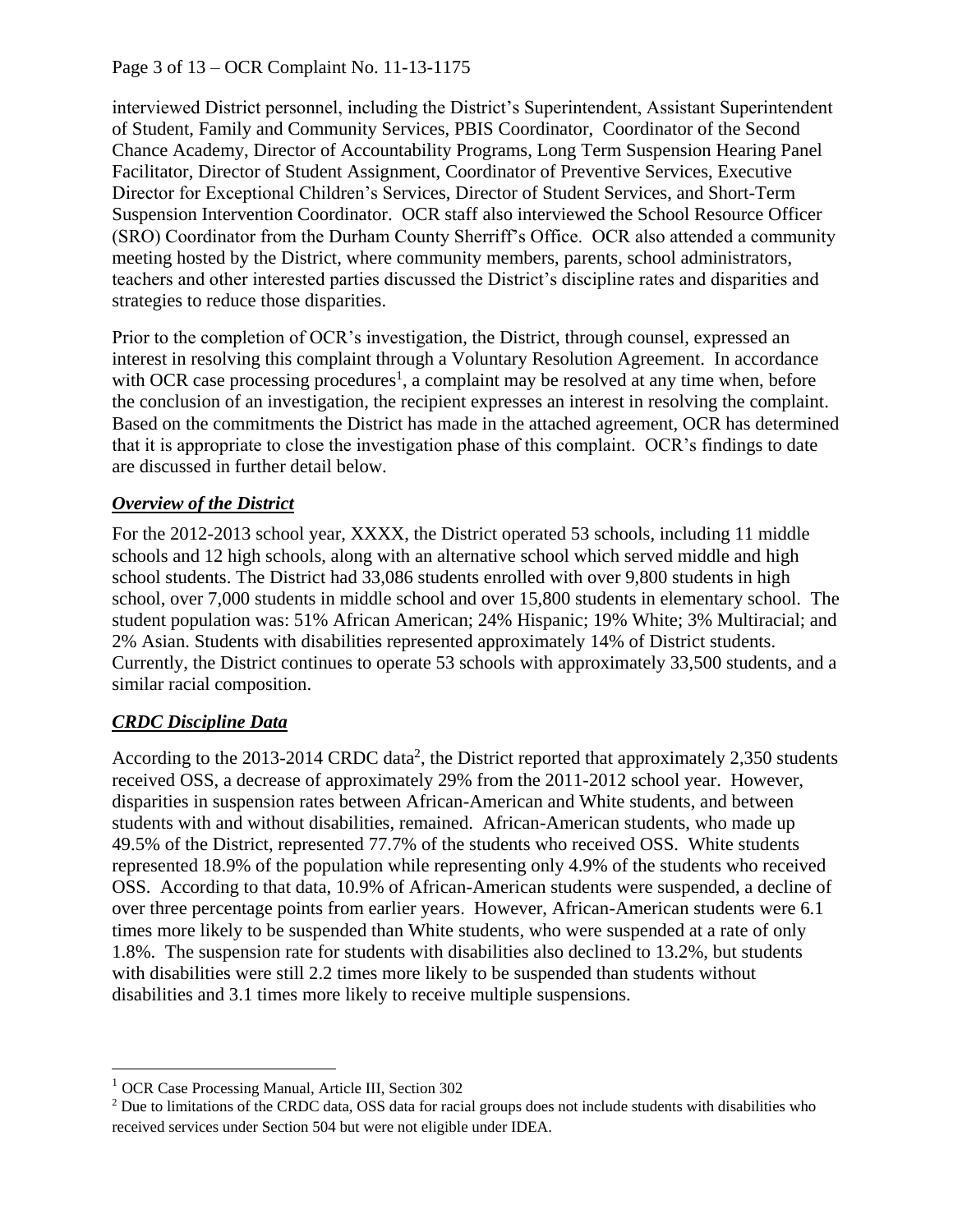### Page 3 of 13 – OCR Complaint No. 11-13-1175

interviewed District personnel, including the District's Superintendent, Assistant Superintendent of Student, Family and Community Services, PBIS Coordinator, Coordinator of the Second Chance Academy, Director of Accountability Programs, Long Term Suspension Hearing Panel Facilitator, Director of Student Assignment, Coordinator of Preventive Services, Executive Director for Exceptional Children's Services, Director of Student Services, and Short-Term Suspension Intervention Coordinator. OCR staff also interviewed the School Resource Officer (SRO) Coordinator from the Durham County Sherriff's Office. OCR also attended a community meeting hosted by the District, where community members, parents, school administrators, teachers and other interested parties discussed the District's discipline rates and disparities and strategies to reduce those disparities.

Prior to the completion of OCR's investigation, the District, through counsel, expressed an interest in resolving this complaint through a Voluntary Resolution Agreement. In accordance with OCR case processing procedures<sup>1</sup>, a complaint may be resolved at any time when, before the conclusion of an investigation, the recipient expresses an interest in resolving the complaint. Based on the commitments the District has made in the attached agreement, OCR has determined that it is appropriate to close the investigation phase of this complaint. OCR's findings to date are discussed in further detail below.

#### *Overview of the District*

For the 2012-2013 school year, XXXX, the District operated 53 schools, including 11 middle schools and 12 high schools, along with an alternative school which served middle and high school students. The District had 33,086 students enrolled with over 9,800 students in high school, over 7,000 students in middle school and over 15,800 students in elementary school. The student population was: 51% African American; 24% Hispanic; 19% White; 3% Multiracial; and 2% Asian. Students with disabilities represented approximately 14% of District students. Currently, the District continues to operate 53 schools with approximately 33,500 students, and a similar racial composition.

## *CRDC Discipline Data*

 $\overline{\phantom{a}}$ 

According to the 2013-2014 CRDC data<sup>2</sup>, the District reported that approximately 2,350 students received OSS, a decrease of approximately 29% from the 2011-2012 school year. However, disparities in suspension rates between African-American and White students, and between students with and without disabilities, remained. African-American students, who made up 49.5% of the District, represented 77.7% of the students who received OSS. White students represented 18.9% of the population while representing only 4.9% of the students who received OSS. According to that data, 10.9% of African-American students were suspended, a decline of over three percentage points from earlier years. However, African-American students were 6.1 times more likely to be suspended than White students, who were suspended at a rate of only 1.8%. The suspension rate for students with disabilities also declined to 13.2%, but students with disabilities were still 2.2 times more likely to be suspended than students without disabilities and 3.1 times more likely to receive multiple suspensions.

<sup>&</sup>lt;sup>1</sup> OCR Case Processing Manual, Article III, Section 302

<sup>&</sup>lt;sup>2</sup> Due to limitations of the CRDC data, OSS data for racial groups does not include students with disabilities who received services under Section 504 but were not eligible under IDEA.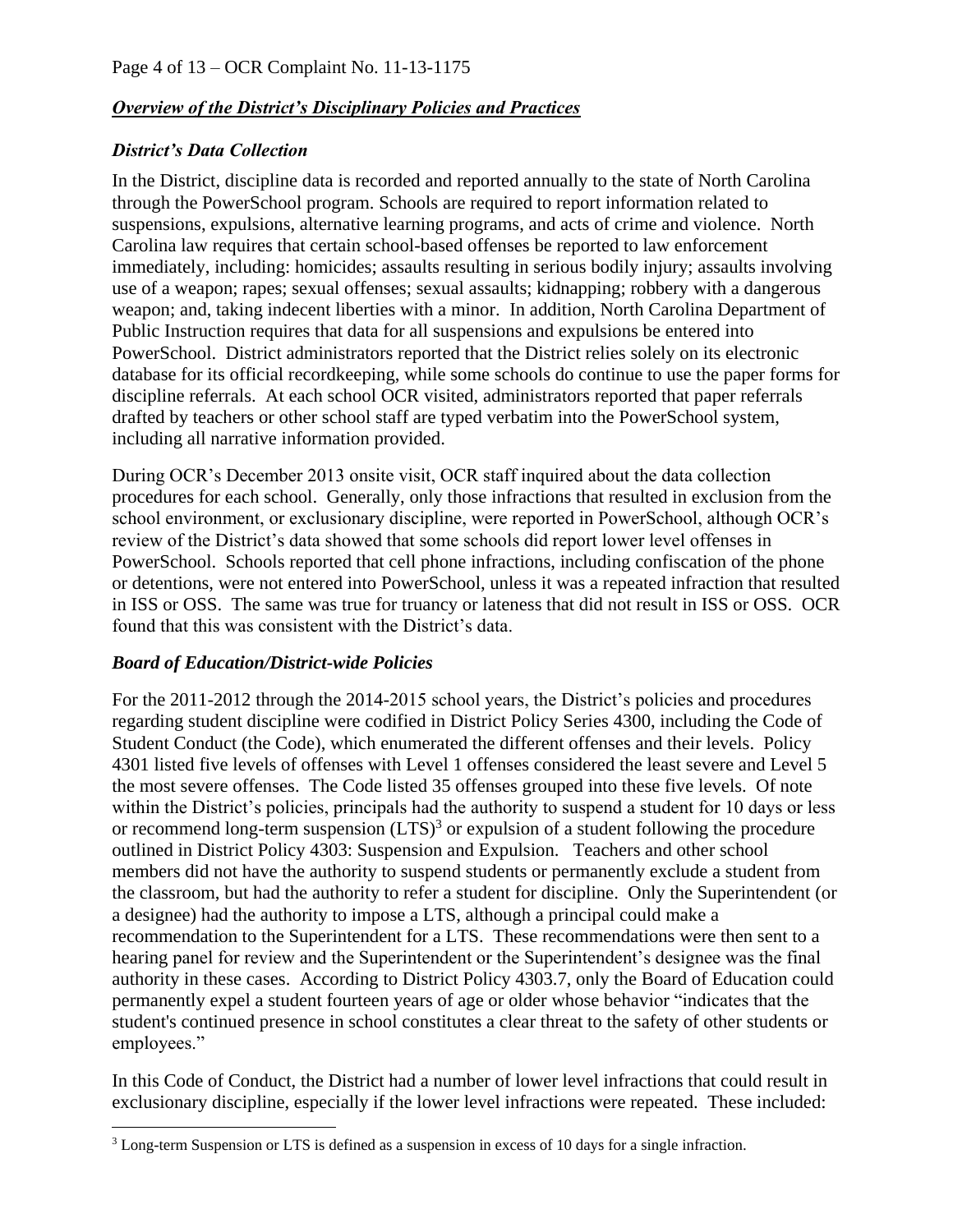### *Overview of the District's Disciplinary Policies and Practices*

### *District's Data Collection*

In the District, discipline data is recorded and reported annually to the state of North Carolina through the PowerSchool program. Schools are required to report information related to suspensions, expulsions, alternative learning programs, and acts of crime and violence. North Carolina law requires that certain school-based offenses be reported to law enforcement immediately, including: homicides; assaults resulting in serious bodily injury; assaults involving use of a weapon; rapes; sexual offenses; sexual assaults; kidnapping; robbery with a dangerous weapon; and, taking indecent liberties with a minor. In addition, North Carolina Department of Public Instruction requires that data for all suspensions and expulsions be entered into PowerSchool. District administrators reported that the District relies solely on its electronic database for its official recordkeeping, while some schools do continue to use the paper forms for discipline referrals. At each school OCR visited, administrators reported that paper referrals drafted by teachers or other school staff are typed verbatim into the PowerSchool system, including all narrative information provided.

During OCR's December 2013 onsite visit, OCR staff inquired about the data collection procedures for each school. Generally, only those infractions that resulted in exclusion from the school environment, or exclusionary discipline, were reported in PowerSchool, although OCR's review of the District's data showed that some schools did report lower level offenses in PowerSchool. Schools reported that cell phone infractions, including confiscation of the phone or detentions, were not entered into PowerSchool, unless it was a repeated infraction that resulted in ISS or OSS. The same was true for truancy or lateness that did not result in ISS or OSS. OCR found that this was consistent with the District's data.

## *Board of Education/District-wide Policies*

 $\overline{\phantom{a}}$ 

For the 2011-2012 through the 2014-2015 school years, the District's policies and procedures regarding student discipline were codified in District Policy Series 4300, including the Code of Student Conduct (the Code), which enumerated the different offenses and their levels. Policy 4301 listed five levels of offenses with Level 1 offenses considered the least severe and Level 5 the most severe offenses. The Code listed 35 offenses grouped into these five levels. Of note within the District's policies, principals had the authority to suspend a student for 10 days or less or recommend long-term suspension  $(LTS)^3$  or expulsion of a student following the procedure outlined in District Policy 4303: Suspension and Expulsion. Teachers and other school members did not have the authority to suspend students or permanently exclude a student from the classroom, but had the authority to refer a student for discipline. Only the Superintendent (or a designee) had the authority to impose a LTS, although a principal could make a recommendation to the Superintendent for a LTS. These recommendations were then sent to a hearing panel for review and the Superintendent or the Superintendent's designee was the final authority in these cases. According to District Policy 4303.7, only the Board of Education could permanently expel a student fourteen years of age or older whose behavior "indicates that the student's continued presence in school constitutes a clear threat to the safety of other students or employees."

In this Code of Conduct, the District had a number of lower level infractions that could result in exclusionary discipline, especially if the lower level infractions were repeated. These included:

<sup>3</sup> Long-term Suspension or LTS is defined as a suspension in excess of 10 days for a single infraction.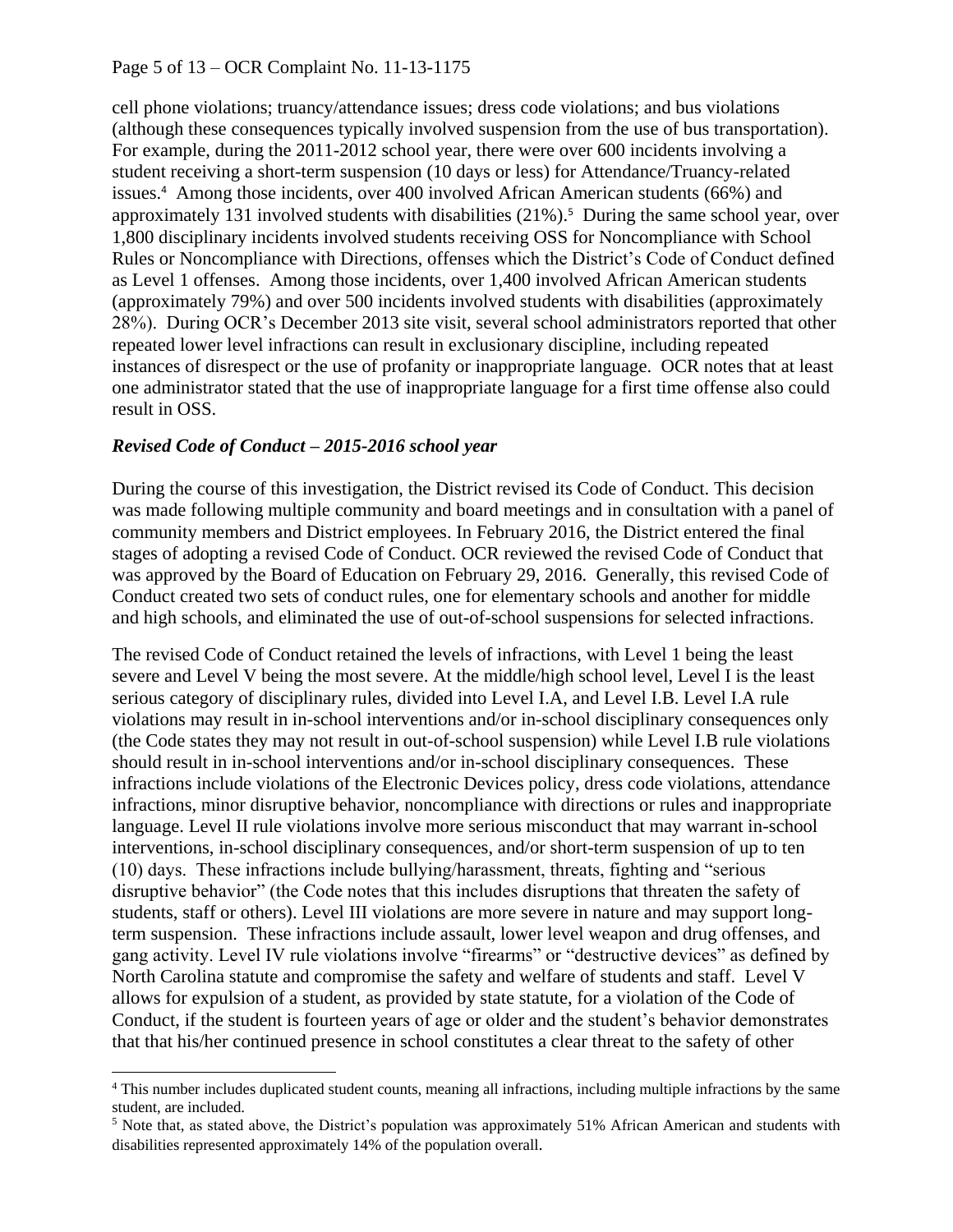#### Page 5 of 13 – OCR Complaint No. 11-13-1175

cell phone violations; truancy/attendance issues; dress code violations; and bus violations (although these consequences typically involved suspension from the use of bus transportation). For example, during the 2011-2012 school year, there were over 600 incidents involving a student receiving a short-term suspension (10 days or less) for Attendance/Truancy-related issues.<sup>4</sup> Among those incidents, over 400 involved African American students (66%) and approximately 131 involved students with disabilities (21%).<sup>5</sup> During the same school year, over 1,800 disciplinary incidents involved students receiving OSS for Noncompliance with School Rules or Noncompliance with Directions, offenses which the District's Code of Conduct defined as Level 1 offenses. Among those incidents, over 1,400 involved African American students (approximately 79%) and over 500 incidents involved students with disabilities (approximately 28%). During OCR's December 2013 site visit, several school administrators reported that other repeated lower level infractions can result in exclusionary discipline, including repeated instances of disrespect or the use of profanity or inappropriate language. OCR notes that at least one administrator stated that the use of inappropriate language for a first time offense also could result in OSS.

#### *Revised Code of Conduct – 2015-2016 school year*

During the course of this investigation, the District revised its Code of Conduct. This decision was made following multiple community and board meetings and in consultation with a panel of community members and District employees. In February 2016, the District entered the final stages of adopting a revised Code of Conduct. OCR reviewed the revised Code of Conduct that was approved by the Board of Education on February 29, 2016. Generally, this revised Code of Conduct created two sets of conduct rules, one for elementary schools and another for middle and high schools, and eliminated the use of out-of-school suspensions for selected infractions.

The revised Code of Conduct retained the levels of infractions, with Level 1 being the least severe and Level V being the most severe. At the middle/high school level, Level I is the least serious category of disciplinary rules, divided into Level I.A, and Level I.B. Level I.A rule violations may result in in-school interventions and/or in-school disciplinary consequences only (the Code states they may not result in out-of-school suspension) while Level I.B rule violations should result in in-school interventions and/or in-school disciplinary consequences. These infractions include violations of the Electronic Devices policy, dress code violations, attendance infractions, minor disruptive behavior, noncompliance with directions or rules and inappropriate language. Level II rule violations involve more serious misconduct that may warrant in-school interventions, in-school disciplinary consequences, and/or short-term suspension of up to ten (10) days. These infractions include bullying/harassment, threats, fighting and "serious disruptive behavior" (the Code notes that this includes disruptions that threaten the safety of students, staff or others). Level III violations are more severe in nature and may support longterm suspension. These infractions include assault, lower level weapon and drug offenses, and gang activity. Level IV rule violations involve "firearms" or "destructive devices" as defined by North Carolina statute and compromise the safety and welfare of students and staff. Level V allows for expulsion of a student, as provided by state statute, for a violation of the Code of Conduct, if the student is fourteen years of age or older and the student's behavior demonstrates that that his/her continued presence in school constitutes a clear threat to the safety of other

 $\overline{\phantom{a}}$ <sup>4</sup> This number includes duplicated student counts, meaning all infractions, including multiple infractions by the same student, are included.

<sup>&</sup>lt;sup>5</sup> Note that, as stated above, the District's population was approximately 51% African American and students with disabilities represented approximately 14% of the population overall.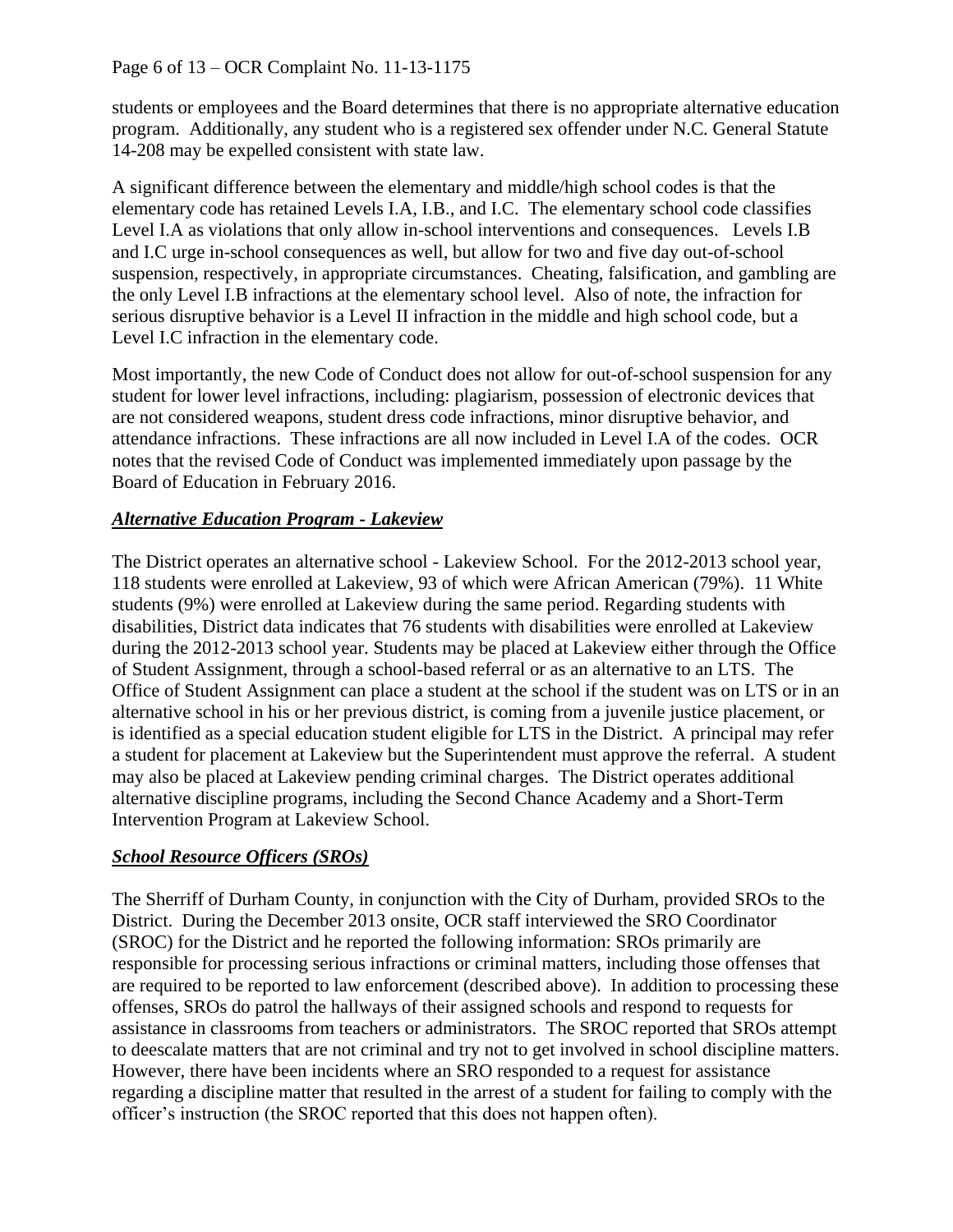#### Page 6 of 13 – OCR Complaint No. 11-13-1175

students or employees and the Board determines that there is no appropriate alternative education program. Additionally, any student who is a registered sex offender under N.C. General Statute 14-208 may be expelled consistent with state law.

A significant difference between the elementary and middle/high school codes is that the elementary code has retained Levels I.A, I.B., and I.C. The elementary school code classifies Level I.A as violations that only allow in-school interventions and consequences. Levels I.B and I.C urge in-school consequences as well, but allow for two and five day out-of-school suspension, respectively, in appropriate circumstances. Cheating, falsification, and gambling are the only Level I.B infractions at the elementary school level. Also of note, the infraction for serious disruptive behavior is a Level II infraction in the middle and high school code, but a Level I.C infraction in the elementary code.

Most importantly, the new Code of Conduct does not allow for out-of-school suspension for any student for lower level infractions, including: plagiarism, possession of electronic devices that are not considered weapons, student dress code infractions, minor disruptive behavior, and attendance infractions. These infractions are all now included in Level I.A of the codes. OCR notes that the revised Code of Conduct was implemented immediately upon passage by the Board of Education in February 2016.

### *Alternative Education Program - Lakeview*

The District operates an alternative school - Lakeview School. For the 2012-2013 school year, 118 students were enrolled at Lakeview, 93 of which were African American (79%). 11 White students (9%) were enrolled at Lakeview during the same period. Regarding students with disabilities, District data indicates that 76 students with disabilities were enrolled at Lakeview during the 2012-2013 school year. Students may be placed at Lakeview either through the Office of Student Assignment, through a school-based referral or as an alternative to an LTS. The Office of Student Assignment can place a student at the school if the student was on LTS or in an alternative school in his or her previous district, is coming from a juvenile justice placement, or is identified as a special education student eligible for LTS in the District. A principal may refer a student for placement at Lakeview but the Superintendent must approve the referral. A student may also be placed at Lakeview pending criminal charges. The District operates additional alternative discipline programs, including the Second Chance Academy and a Short-Term Intervention Program at Lakeview School.

#### *School Resource Officers (SROs)*

The Sherriff of Durham County, in conjunction with the City of Durham, provided SROs to the District. During the December 2013 onsite, OCR staff interviewed the SRO Coordinator (SROC) for the District and he reported the following information: SROs primarily are responsible for processing serious infractions or criminal matters, including those offenses that are required to be reported to law enforcement (described above). In addition to processing these offenses, SROs do patrol the hallways of their assigned schools and respond to requests for assistance in classrooms from teachers or administrators. The SROC reported that SROs attempt to deescalate matters that are not criminal and try not to get involved in school discipline matters. However, there have been incidents where an SRO responded to a request for assistance regarding a discipline matter that resulted in the arrest of a student for failing to comply with the officer's instruction (the SROC reported that this does not happen often).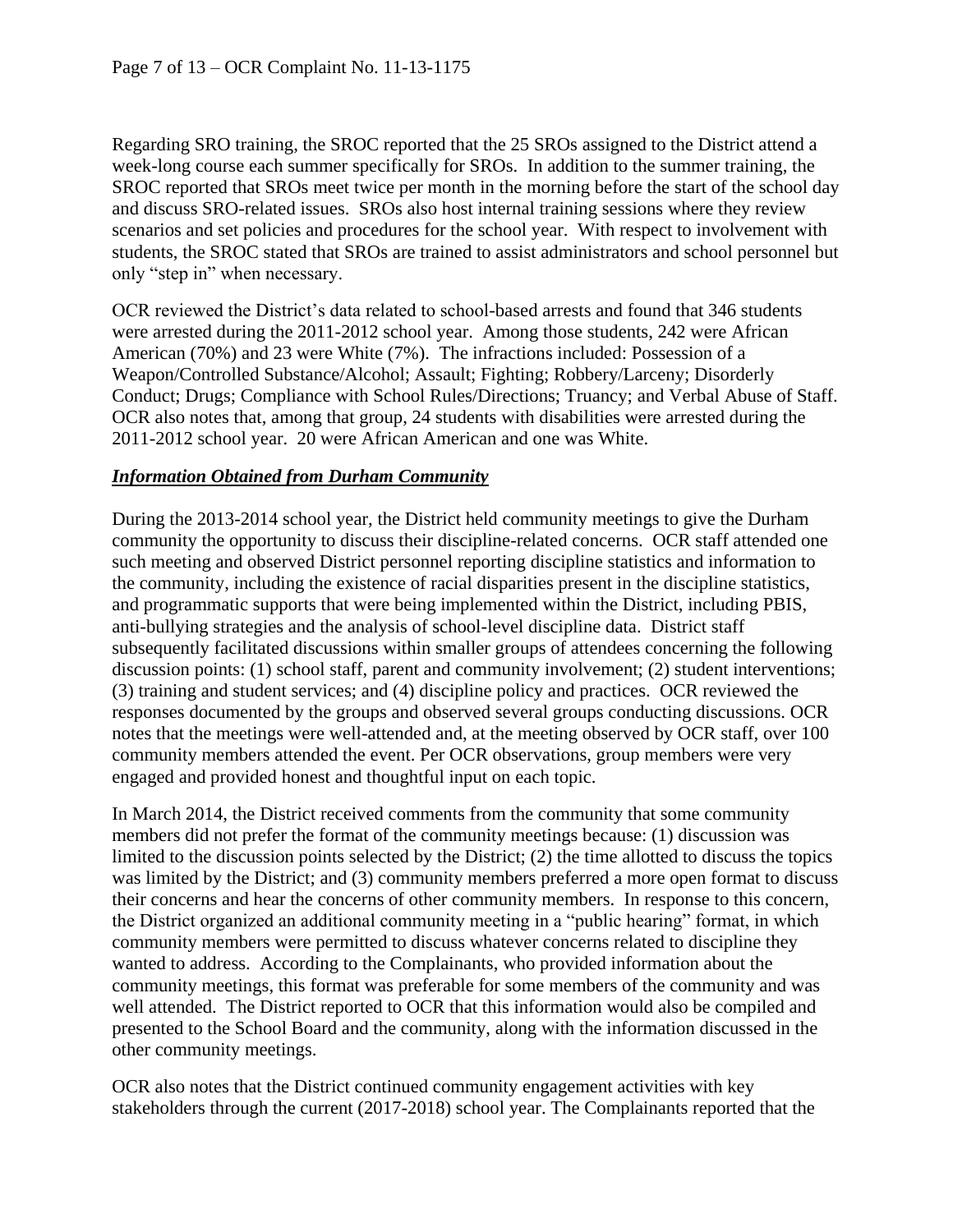Regarding SRO training, the SROC reported that the 25 SROs assigned to the District attend a week-long course each summer specifically for SROs. In addition to the summer training, the SROC reported that SROs meet twice per month in the morning before the start of the school day and discuss SRO-related issues. SROs also host internal training sessions where they review scenarios and set policies and procedures for the school year. With respect to involvement with students, the SROC stated that SROs are trained to assist administrators and school personnel but only "step in" when necessary.

OCR reviewed the District's data related to school-based arrests and found that 346 students were arrested during the 2011-2012 school year. Among those students, 242 were African American (70%) and 23 were White (7%). The infractions included: Possession of a Weapon/Controlled Substance/Alcohol; Assault; Fighting; Robbery/Larceny; Disorderly Conduct; Drugs; Compliance with School Rules/Directions; Truancy; and Verbal Abuse of Staff. OCR also notes that, among that group, 24 students with disabilities were arrested during the 2011-2012 school year. 20 were African American and one was White.

#### *Information Obtained from Durham Community*

During the 2013-2014 school year, the District held community meetings to give the Durham community the opportunity to discuss their discipline-related concerns. OCR staff attended one such meeting and observed District personnel reporting discipline statistics and information to the community, including the existence of racial disparities present in the discipline statistics, and programmatic supports that were being implemented within the District, including PBIS, anti-bullying strategies and the analysis of school-level discipline data. District staff subsequently facilitated discussions within smaller groups of attendees concerning the following discussion points: (1) school staff, parent and community involvement; (2) student interventions; (3) training and student services; and (4) discipline policy and practices. OCR reviewed the responses documented by the groups and observed several groups conducting discussions. OCR notes that the meetings were well-attended and, at the meeting observed by OCR staff, over 100 community members attended the event. Per OCR observations, group members were very engaged and provided honest and thoughtful input on each topic.

In March 2014, the District received comments from the community that some community members did not prefer the format of the community meetings because: (1) discussion was limited to the discussion points selected by the District; (2) the time allotted to discuss the topics was limited by the District; and (3) community members preferred a more open format to discuss their concerns and hear the concerns of other community members. In response to this concern, the District organized an additional community meeting in a "public hearing" format, in which community members were permitted to discuss whatever concerns related to discipline they wanted to address. According to the Complainants, who provided information about the community meetings, this format was preferable for some members of the community and was well attended. The District reported to OCR that this information would also be compiled and presented to the School Board and the community, along with the information discussed in the other community meetings.

OCR also notes that the District continued community engagement activities with key stakeholders through the current (2017-2018) school year. The Complainants reported that the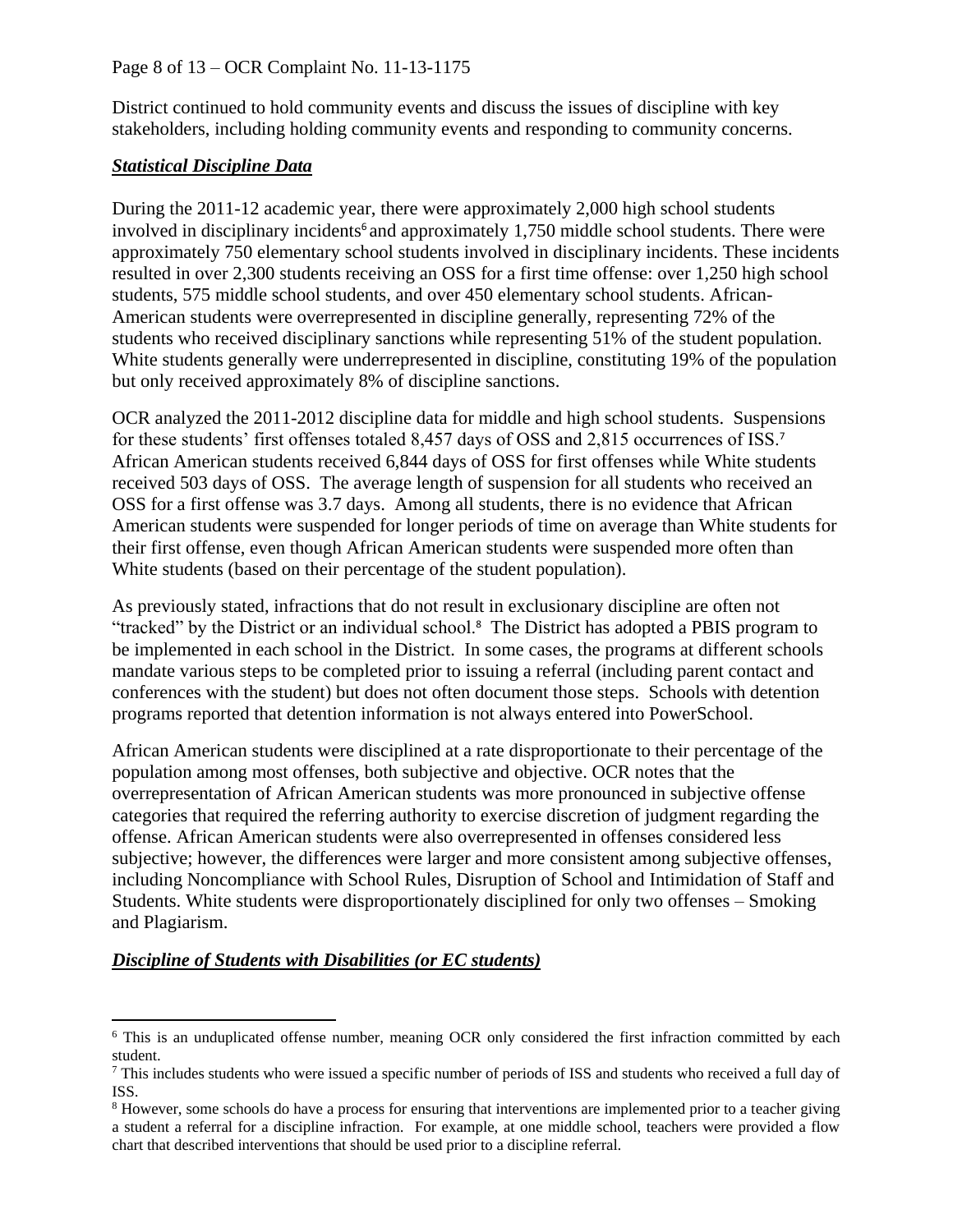#### Page 8 of 13 – OCR Complaint No. 11-13-1175

District continued to hold community events and discuss the issues of discipline with key stakeholders, including holding community events and responding to community concerns.

#### *Statistical Discipline Data*

During the 2011-12 academic year, there were approximately 2,000 high school students involved in disciplinary incidents<sup>6</sup> and approximately 1,750 middle school students. There were approximately 750 elementary school students involved in disciplinary incidents. These incidents resulted in over 2,300 students receiving an OSS for a first time offense: over 1,250 high school students, 575 middle school students, and over 450 elementary school students. African-American students were overrepresented in discipline generally, representing 72% of the students who received disciplinary sanctions while representing 51% of the student population. White students generally were underrepresented in discipline, constituting 19% of the population but only received approximately 8% of discipline sanctions.

OCR analyzed the 2011-2012 discipline data for middle and high school students. Suspensions for these students' first offenses totaled 8,457 days of OSS and 2,815 occurrences of ISS.<sup>7</sup> African American students received 6,844 days of OSS for first offenses while White students received 503 days of OSS. The average length of suspension for all students who received an OSS for a first offense was 3.7 days. Among all students, there is no evidence that African American students were suspended for longer periods of time on average than White students for their first offense, even though African American students were suspended more often than White students (based on their percentage of the student population).

As previously stated, infractions that do not result in exclusionary discipline are often not "tracked" by the District or an individual school.<sup>8</sup> The District has adopted a PBIS program to be implemented in each school in the District. In some cases, the programs at different schools mandate various steps to be completed prior to issuing a referral (including parent contact and conferences with the student) but does not often document those steps. Schools with detention programs reported that detention information is not always entered into PowerSchool.

African American students were disciplined at a rate disproportionate to their percentage of the population among most offenses, both subjective and objective. OCR notes that the overrepresentation of African American students was more pronounced in subjective offense categories that required the referring authority to exercise discretion of judgment regarding the offense. African American students were also overrepresented in offenses considered less subjective; however, the differences were larger and more consistent among subjective offenses, including Noncompliance with School Rules, Disruption of School and Intimidation of Staff and Students. White students were disproportionately disciplined for only two offenses – Smoking and Plagiarism.

#### *Discipline of Students with Disabilities (or EC students)*

 $\overline{\phantom{a}}$ <sup>6</sup> This is an unduplicated offense number, meaning OCR only considered the first infraction committed by each student.

<sup>7</sup> This includes students who were issued a specific number of periods of ISS and students who received a full day of ISS.

<sup>8</sup> However, some schools do have a process for ensuring that interventions are implemented prior to a teacher giving a student a referral for a discipline infraction. For example, at one middle school, teachers were provided a flow chart that described interventions that should be used prior to a discipline referral.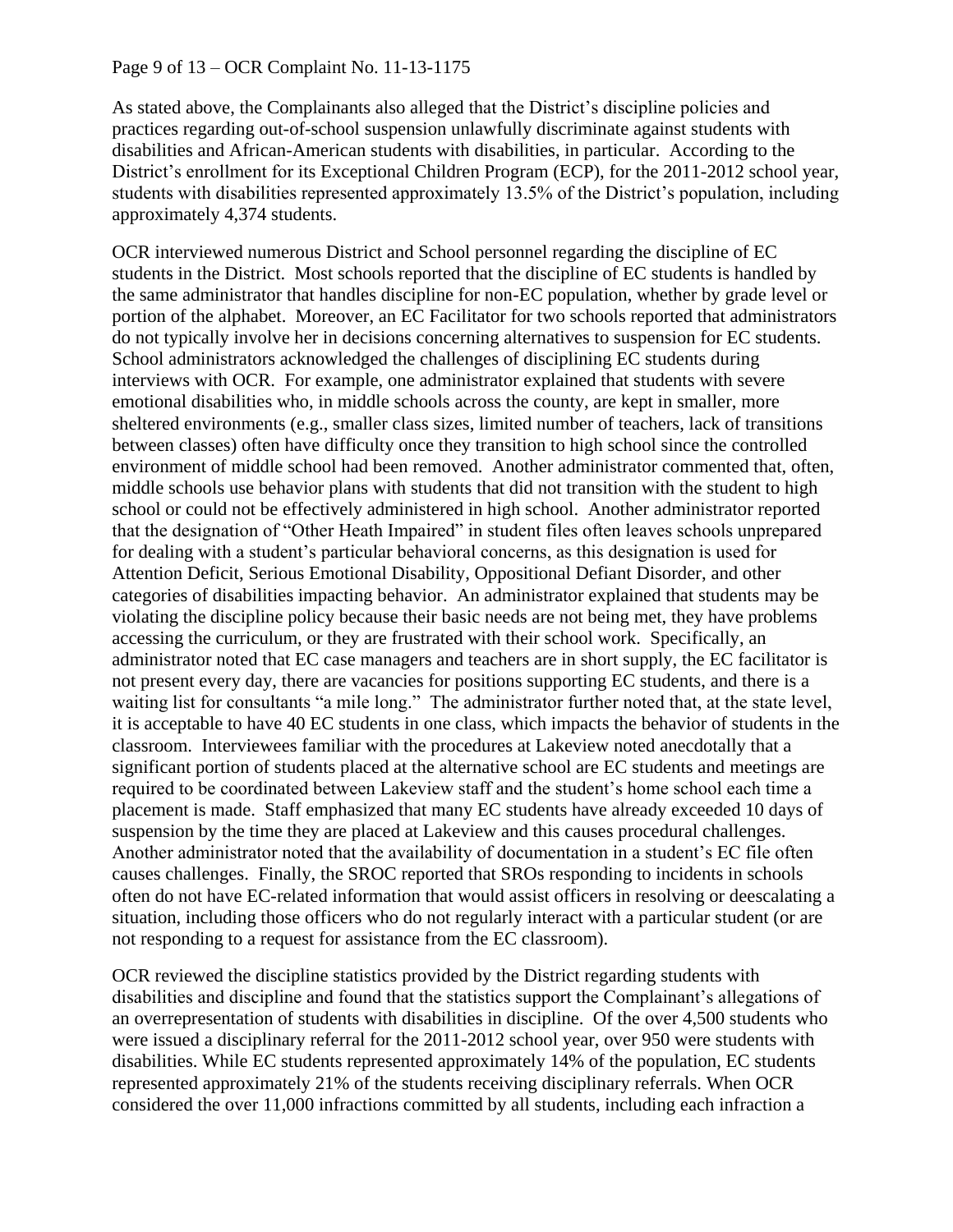#### Page 9 of 13 – OCR Complaint No. 11-13-1175

As stated above, the Complainants also alleged that the District's discipline policies and practices regarding out-of-school suspension unlawfully discriminate against students with disabilities and African-American students with disabilities, in particular. According to the District's enrollment for its Exceptional Children Program (ECP), for the 2011-2012 school year, students with disabilities represented approximately 13.5% of the District's population, including approximately 4,374 students.

OCR interviewed numerous District and School personnel regarding the discipline of EC students in the District. Most schools reported that the discipline of EC students is handled by the same administrator that handles discipline for non-EC population, whether by grade level or portion of the alphabet. Moreover, an EC Facilitator for two schools reported that administrators do not typically involve her in decisions concerning alternatives to suspension for EC students. School administrators acknowledged the challenges of disciplining EC students during interviews with OCR. For example, one administrator explained that students with severe emotional disabilities who, in middle schools across the county, are kept in smaller, more sheltered environments (e.g., smaller class sizes, limited number of teachers, lack of transitions between classes) often have difficulty once they transition to high school since the controlled environment of middle school had been removed. Another administrator commented that, often, middle schools use behavior plans with students that did not transition with the student to high school or could not be effectively administered in high school. Another administrator reported that the designation of "Other Heath Impaired" in student files often leaves schools unprepared for dealing with a student's particular behavioral concerns, as this designation is used for Attention Deficit, Serious Emotional Disability, Oppositional Defiant Disorder, and other categories of disabilities impacting behavior. An administrator explained that students may be violating the discipline policy because their basic needs are not being met, they have problems accessing the curriculum, or they are frustrated with their school work. Specifically, an administrator noted that EC case managers and teachers are in short supply, the EC facilitator is not present every day, there are vacancies for positions supporting EC students, and there is a waiting list for consultants "a mile long." The administrator further noted that, at the state level, it is acceptable to have 40 EC students in one class, which impacts the behavior of students in the classroom. Interviewees familiar with the procedures at Lakeview noted anecdotally that a significant portion of students placed at the alternative school are EC students and meetings are required to be coordinated between Lakeview staff and the student's home school each time a placement is made. Staff emphasized that many EC students have already exceeded 10 days of suspension by the time they are placed at Lakeview and this causes procedural challenges. Another administrator noted that the availability of documentation in a student's EC file often causes challenges. Finally, the SROC reported that SROs responding to incidents in schools often do not have EC-related information that would assist officers in resolving or deescalating a situation, including those officers who do not regularly interact with a particular student (or are not responding to a request for assistance from the EC classroom).

OCR reviewed the discipline statistics provided by the District regarding students with disabilities and discipline and found that the statistics support the Complainant's allegations of an overrepresentation of students with disabilities in discipline. Of the over 4,500 students who were issued a disciplinary referral for the 2011-2012 school year, over 950 were students with disabilities. While EC students represented approximately 14% of the population, EC students represented approximately 21% of the students receiving disciplinary referrals. When OCR considered the over 11,000 infractions committed by all students, including each infraction a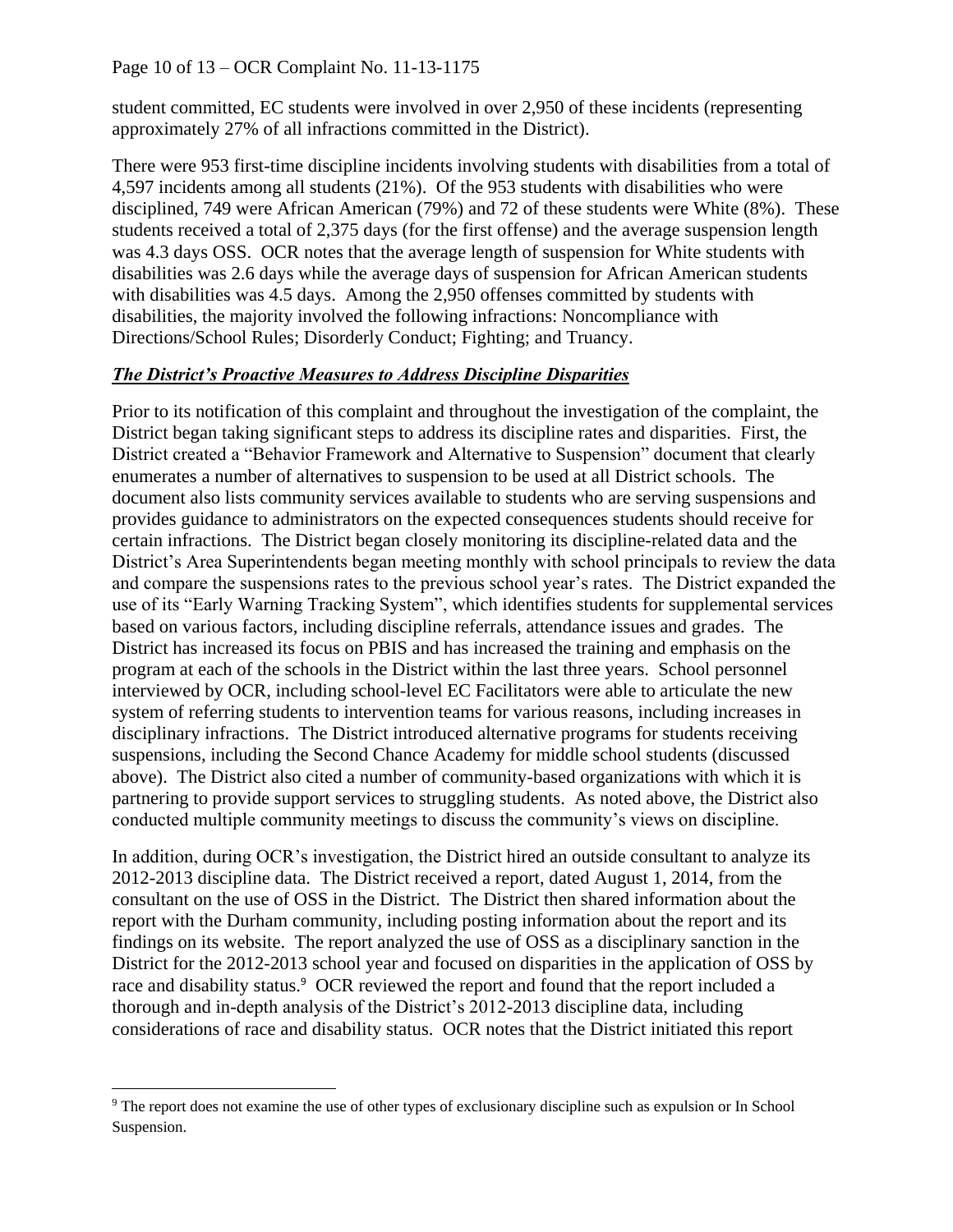Page 10 of 13 – OCR Complaint No. 11-13-1175

student committed, EC students were involved in over 2,950 of these incidents (representing approximately 27% of all infractions committed in the District).

There were 953 first-time discipline incidents involving students with disabilities from a total of 4,597 incidents among all students (21%). Of the 953 students with disabilities who were disciplined, 749 were African American (79%) and 72 of these students were White (8%). These students received a total of 2,375 days (for the first offense) and the average suspension length was 4.3 days OSS. OCR notes that the average length of suspension for White students with disabilities was 2.6 days while the average days of suspension for African American students with disabilities was 4.5 days. Among the 2,950 offenses committed by students with disabilities, the majority involved the following infractions: Noncompliance with Directions/School Rules; Disorderly Conduct; Fighting; and Truancy.

#### *The District's Proactive Measures to Address Discipline Disparities*

Prior to its notification of this complaint and throughout the investigation of the complaint, the District began taking significant steps to address its discipline rates and disparities. First, the District created a "Behavior Framework and Alternative to Suspension" document that clearly enumerates a number of alternatives to suspension to be used at all District schools. The document also lists community services available to students who are serving suspensions and provides guidance to administrators on the expected consequences students should receive for certain infractions. The District began closely monitoring its discipline-related data and the District's Area Superintendents began meeting monthly with school principals to review the data and compare the suspensions rates to the previous school year's rates. The District expanded the use of its "Early Warning Tracking System", which identifies students for supplemental services based on various factors, including discipline referrals, attendance issues and grades. The District has increased its focus on PBIS and has increased the training and emphasis on the program at each of the schools in the District within the last three years. School personnel interviewed by OCR, including school-level EC Facilitators were able to articulate the new system of referring students to intervention teams for various reasons, including increases in disciplinary infractions. The District introduced alternative programs for students receiving suspensions, including the Second Chance Academy for middle school students (discussed above). The District also cited a number of community-based organizations with which it is partnering to provide support services to struggling students. As noted above, the District also conducted multiple community meetings to discuss the community's views on discipline.

In addition, during OCR's investigation, the District hired an outside consultant to analyze its 2012-2013 discipline data. The District received a report, dated August 1, 2014, from the consultant on the use of OSS in the District. The District then shared information about the report with the Durham community, including posting information about the report and its findings on its website. The report analyzed the use of OSS as a disciplinary sanction in the District for the 2012-2013 school year and focused on disparities in the application of OSS by race and disability status.<sup>9</sup> OCR reviewed the report and found that the report included a thorough and in-depth analysis of the District's 2012-2013 discipline data, including considerations of race and disability status. OCR notes that the District initiated this report

 $\overline{a}$ 

<sup>9</sup> The report does not examine the use of other types of exclusionary discipline such as expulsion or In School Suspension.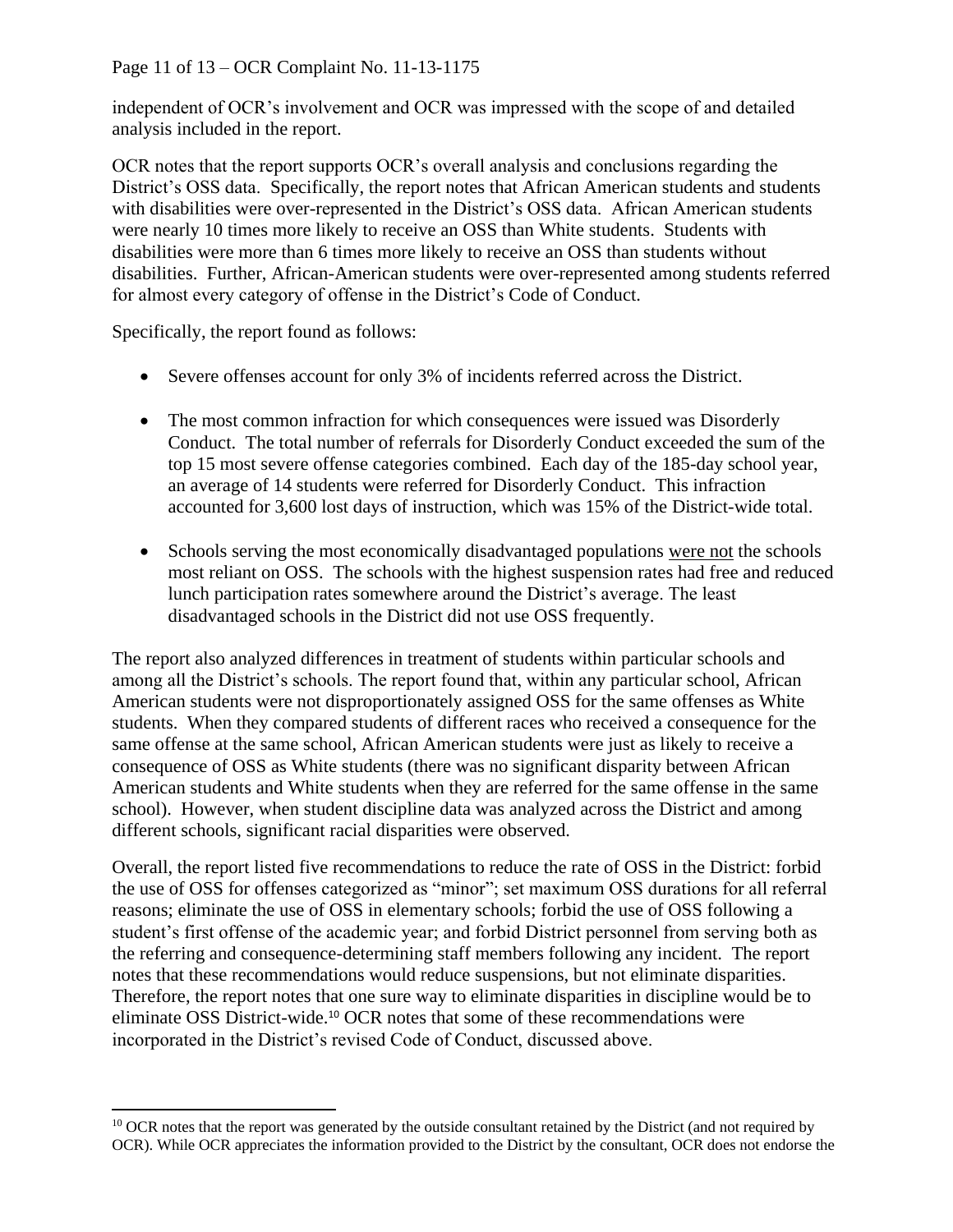Page 11 of 13 – OCR Complaint No. 11-13-1175

independent of OCR's involvement and OCR was impressed with the scope of and detailed analysis included in the report.

OCR notes that the report supports OCR's overall analysis and conclusions regarding the District's OSS data. Specifically, the report notes that African American students and students with disabilities were over-represented in the District's OSS data. African American students were nearly 10 times more likely to receive an OSS than White students. Students with disabilities were more than 6 times more likely to receive an OSS than students without disabilities. Further, African-American students were over-represented among students referred for almost every category of offense in the District's Code of Conduct.

Specifically, the report found as follows:

- Severe offenses account for only 3% of incidents referred across the District.
- The most common infraction for which consequences were issued was Disorderly Conduct. The total number of referrals for Disorderly Conduct exceeded the sum of the top 15 most severe offense categories combined. Each day of the 185-day school year, an average of 14 students were referred for Disorderly Conduct. This infraction accounted for 3,600 lost days of instruction, which was 15% of the District-wide total.
- Schools serving the most economically disadvantaged populations were not the schools most reliant on OSS. The schools with the highest suspension rates had free and reduced lunch participation rates somewhere around the District's average. The least disadvantaged schools in the District did not use OSS frequently.

The report also analyzed differences in treatment of students within particular schools and among all the District's schools. The report found that, within any particular school, African American students were not disproportionately assigned OSS for the same offenses as White students. When they compared students of different races who received a consequence for the same offense at the same school, African American students were just as likely to receive a consequence of OSS as White students (there was no significant disparity between African American students and White students when they are referred for the same offense in the same school). However, when student discipline data was analyzed across the District and among different schools, significant racial disparities were observed.

Overall, the report listed five recommendations to reduce the rate of OSS in the District: forbid the use of OSS for offenses categorized as "minor"; set maximum OSS durations for all referral reasons; eliminate the use of OSS in elementary schools; forbid the use of OSS following a student's first offense of the academic year; and forbid District personnel from serving both as the referring and consequence-determining staff members following any incident. The report notes that these recommendations would reduce suspensions, but not eliminate disparities. Therefore, the report notes that one sure way to eliminate disparities in discipline would be to eliminate OSS District-wide.<sup>10</sup> OCR notes that some of these recommendations were incorporated in the District's revised Code of Conduct, discussed above.

 $\overline{\phantom{a}}$ <sup>10</sup> OCR notes that the report was generated by the outside consultant retained by the District (and not required by OCR). While OCR appreciates the information provided to the District by the consultant, OCR does not endorse the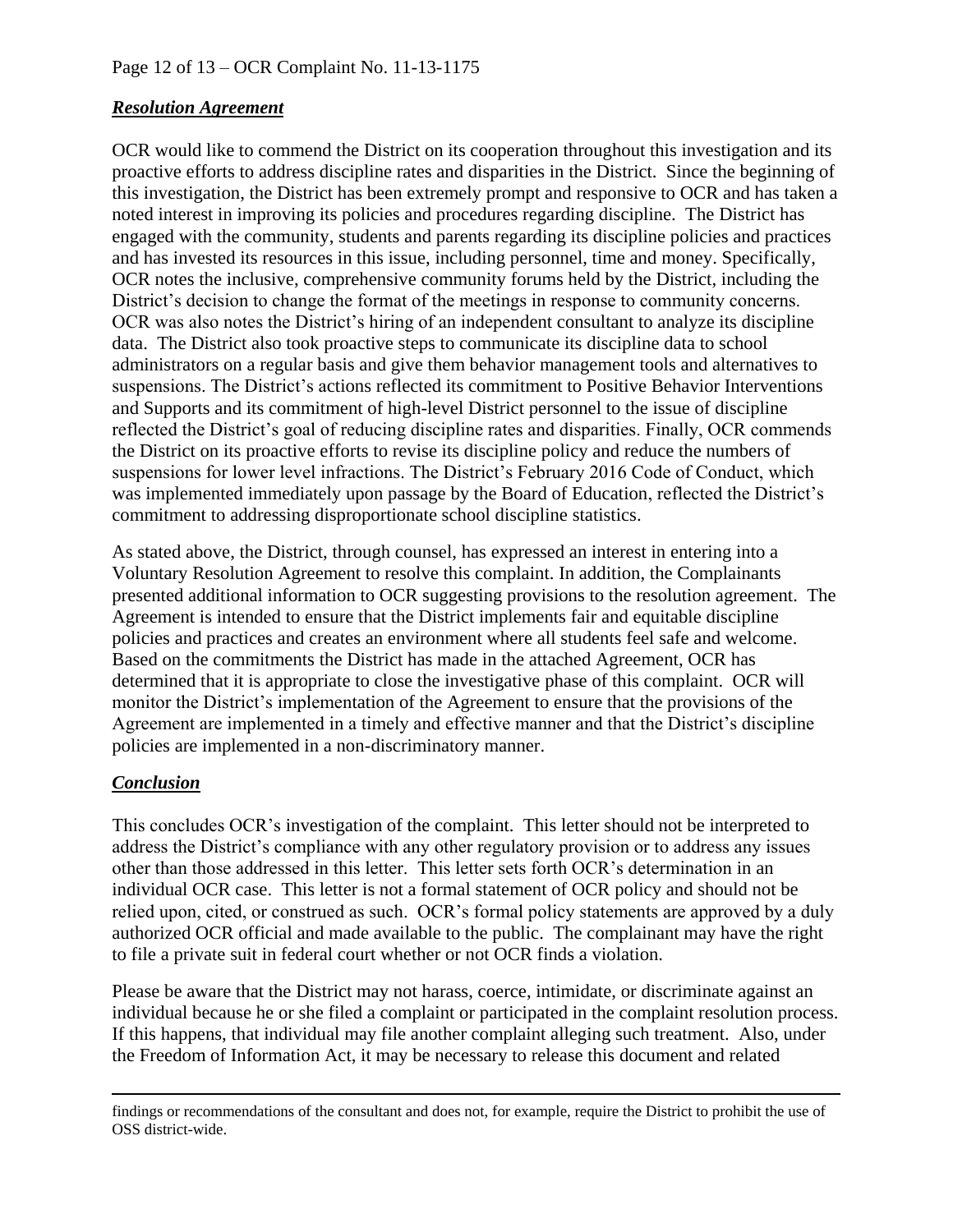## *Resolution Agreement*

OCR would like to commend the District on its cooperation throughout this investigation and its proactive efforts to address discipline rates and disparities in the District. Since the beginning of this investigation, the District has been extremely prompt and responsive to OCR and has taken a noted interest in improving its policies and procedures regarding discipline. The District has engaged with the community, students and parents regarding its discipline policies and practices and has invested its resources in this issue, including personnel, time and money. Specifically, OCR notes the inclusive, comprehensive community forums held by the District, including the District's decision to change the format of the meetings in response to community concerns. OCR was also notes the District's hiring of an independent consultant to analyze its discipline data. The District also took proactive steps to communicate its discipline data to school administrators on a regular basis and give them behavior management tools and alternatives to suspensions. The District's actions reflected its commitment to Positive Behavior Interventions and Supports and its commitment of high-level District personnel to the issue of discipline reflected the District's goal of reducing discipline rates and disparities. Finally, OCR commends the District on its proactive efforts to revise its discipline policy and reduce the numbers of suspensions for lower level infractions. The District's February 2016 Code of Conduct, which was implemented immediately upon passage by the Board of Education, reflected the District's commitment to addressing disproportionate school discipline statistics.

As stated above, the District, through counsel, has expressed an interest in entering into a Voluntary Resolution Agreement to resolve this complaint. In addition, the Complainants presented additional information to OCR suggesting provisions to the resolution agreement. The Agreement is intended to ensure that the District implements fair and equitable discipline policies and practices and creates an environment where all students feel safe and welcome. Based on the commitments the District has made in the attached Agreement, OCR has determined that it is appropriate to close the investigative phase of this complaint. OCR will monitor the District's implementation of the Agreement to ensure that the provisions of the Agreement are implemented in a timely and effective manner and that the District's discipline policies are implemented in a non-discriminatory manner.

#### *Conclusion*

l

This concludes OCR's investigation of the complaint. This letter should not be interpreted to address the District's compliance with any other regulatory provision or to address any issues other than those addressed in this letter. This letter sets forth OCR's determination in an individual OCR case. This letter is not a formal statement of OCR policy and should not be relied upon, cited, or construed as such. OCR's formal policy statements are approved by a duly authorized OCR official and made available to the public. The complainant may have the right to file a private suit in federal court whether or not OCR finds a violation.

Please be aware that the District may not harass, coerce, intimidate, or discriminate against an individual because he or she filed a complaint or participated in the complaint resolution process. If this happens, that individual may file another complaint alleging such treatment. Also, under the Freedom of Information Act, it may be necessary to release this document and related

findings or recommendations of the consultant and does not, for example, require the District to prohibit the use of OSS district-wide.